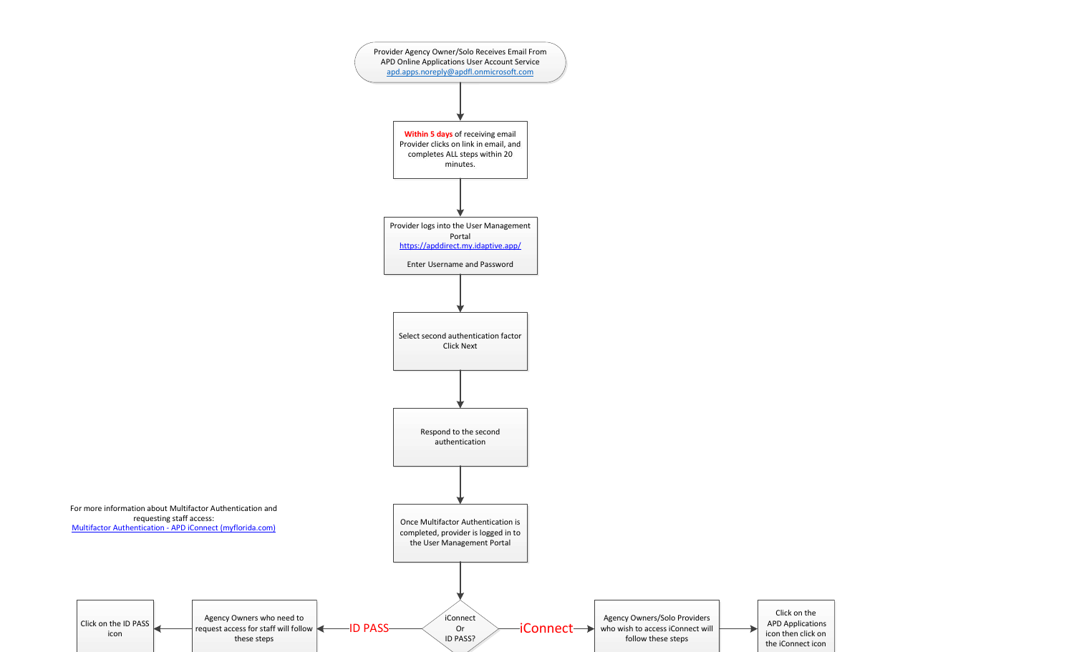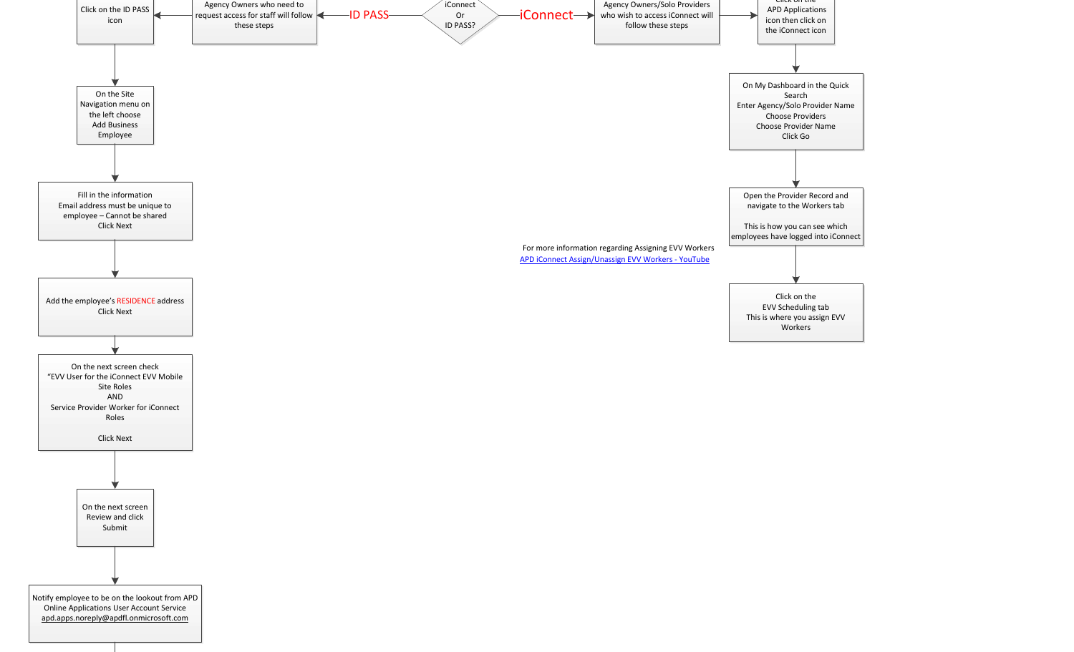